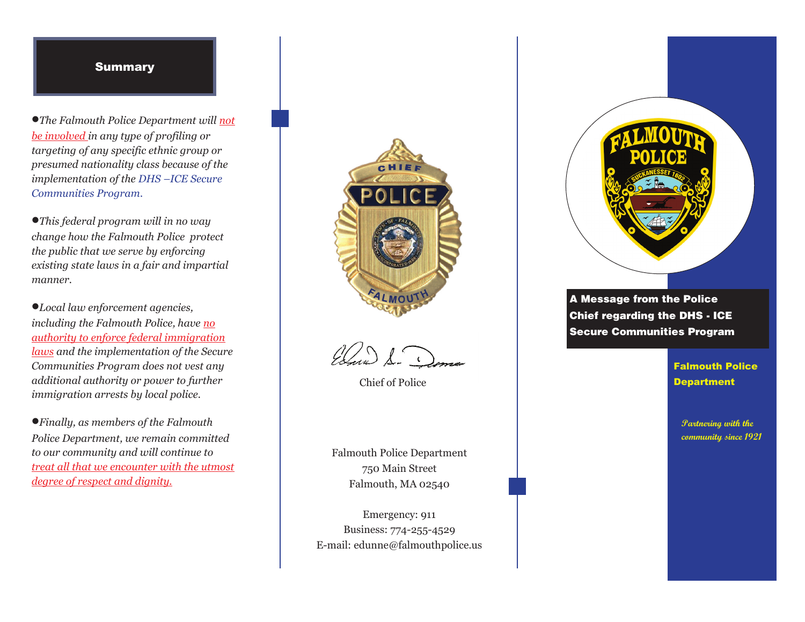## Summary **Summary**

*The Falmouth Police Department will not* 

*The Falmouth Police Department will not targeting of any specific ethnic group or presumed nationality class because of the implementation of the DHS –ICE Secure implementation of the DHS –ICE Secure Communities Program. Communities Program. The Falmouth Police Department will not be involved in any type of profiling or be involved in any type of profiling or targeting of any specific ethnic group or <u>Following Program</u>* 

*This federal program will in no way the public that we serve by enforcing existing state laws in a fair and impartial existing state laws in a fair and impartial manner. This federal program will in no way change how the Falmouth Police protect change how the Falmouth Police protect the public that we serve by enforcing Local law enforcement agencies,* 

*Local law enforcement agencies, including the Falmouth Police, have no authority to enforce federal immigration including the Falmouth Police, have no authority to enforce federal immigration laws and the implementation of the Secure laws* and the implementation of the Secure *laws communities Program does not vest any Communities Program does not vest any additional authority or power to further immigration arrests by local police. additional authority or power to further immigration arrests by local police. immigration arrests by local police.*  $\bullet$ *Local law enforcement agencies, Finally, as members of the Falmouth* 

*Finally, as members of the Falmouth Police Department, we remain committed to our community and will continue to to our community and will continue to treat all that we encounter with the utmost degree of respect and dignity. degree of respect and dignity.*   $\bullet$  Finally, as members of the Falmouth



Elma S.

Chief of Police

 $Falmouth, MA 02540$ 750 Main Street 750 Main Street Falmouth Police Department

Emergency: 911 E-mail: edunne@falmouthpolice.us  $\frac{3}{4}$ Business: 774-255-4529



A Message from the Police Secure Communities Program Chief regarding the DHS - ICE Chief regarding the DHS - ICE A Message from the Police **Inter** 

> Falmouth Police Department Falmouth Police Department

**Partnering with the community since 1921 community since 1921**

**Partnering with the**